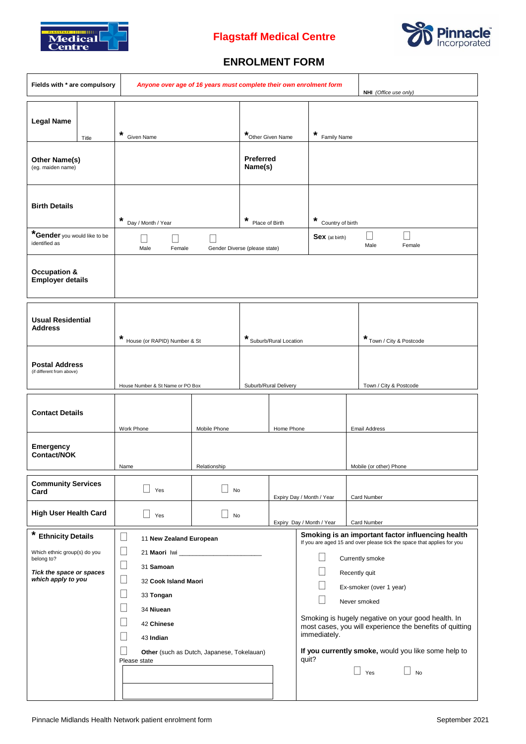

# **Flagstaff Medical Centre**



## **ENROLMENT FORM**

| Fields with * are compulsory                                                                                                  | Anyone over age of 16 years must complete their own enrolment form                                                                                                                                                                                                                    |                    |                                                  |                                                           | NHI (Office use only)     |                                                                                                                                                                                                                                                                                                                                                                                                         |
|-------------------------------------------------------------------------------------------------------------------------------|---------------------------------------------------------------------------------------------------------------------------------------------------------------------------------------------------------------------------------------------------------------------------------------|--------------------|--------------------------------------------------|-----------------------------------------------------------|---------------------------|---------------------------------------------------------------------------------------------------------------------------------------------------------------------------------------------------------------------------------------------------------------------------------------------------------------------------------------------------------------------------------------------------------|
| <b>Legal Name</b><br>Title<br>Other Name(s)<br>(eg. maiden name)                                                              | *<br><b>Given Name</b>                                                                                                                                                                                                                                                                |                    | *Other Given Name<br><b>Preferred</b><br>Name(s) |                                                           | *<br>Family Name          |                                                                                                                                                                                                                                                                                                                                                                                                         |
| <b>Birth Details</b><br>*Gender you would like to be<br>identified as                                                         | *<br>Day / Month / Year<br>$\mathbf{I}$<br>Male<br>Female                                                                                                                                                                                                                             |                    | *<br>Gender Diverse (please state)               | *<br>Country of birth<br>Place of Birth<br>Sex (at birth) |                           | $\overline{\phantom{a}}$<br>Male<br>Female                                                                                                                                                                                                                                                                                                                                                              |
| <b>Occupation &amp;</b><br><b>Employer details</b>                                                                            |                                                                                                                                                                                                                                                                                       |                    |                                                  |                                                           |                           |                                                                                                                                                                                                                                                                                                                                                                                                         |
| <b>Usual Residential</b><br><b>Address</b>                                                                                    | *<br>House (or RAPID) Number & St                                                                                                                                                                                                                                                     |                    |                                                  | * Suburb/Rural Location                                   |                           | * Town / City & Postcode                                                                                                                                                                                                                                                                                                                                                                                |
| <b>Postal Address</b><br>(if different from above)                                                                            | House Number & St Name or PO Box                                                                                                                                                                                                                                                      |                    |                                                  | Suburb/Rural Delivery                                     |                           | Town / City & Postcode                                                                                                                                                                                                                                                                                                                                                                                  |
| <b>Contact Details</b>                                                                                                        | Work Phone                                                                                                                                                                                                                                                                            | Mobile Phone       |                                                  | Home Phone                                                |                           | <b>Email Address</b>                                                                                                                                                                                                                                                                                                                                                                                    |
| Emergency<br>Contact/NOK                                                                                                      | Name                                                                                                                                                                                                                                                                                  | Relationship       |                                                  |                                                           | Mobile (or other) Phone   |                                                                                                                                                                                                                                                                                                                                                                                                         |
| <b>Community Services</b><br>Card                                                                                             | Yes                                                                                                                                                                                                                                                                                   | No<br>$\mathsf{I}$ |                                                  |                                                           | Expiry Day / Month / Year | Card Number                                                                                                                                                                                                                                                                                                                                                                                             |
| <b>High User Health Card</b>                                                                                                  | Yes                                                                                                                                                                                                                                                                                   | No                 |                                                  | Expiry Day / Month / Year                                 | Card Number               |                                                                                                                                                                                                                                                                                                                                                                                                         |
| *<br><b>Ethnicity Details</b><br>Which ethnic group(s) do you<br>belong to?<br>Tick the space or spaces<br>which apply to you | $\Box$<br>11 New Zealand European<br>$\Box$<br>21 Maori Iwi<br>$\Box$<br>31 Samoan<br>$\Box$<br>32 Cook Island Maori<br>$\Box$<br>33 Tongan<br>$\Box$<br>34 Niuean<br>$\Box$<br>42 Chinese<br>$\mathbf{L}$<br>43 Indian<br>Other (such as Dutch, Japanese, Tokelauan)<br>Please state |                    |                                                  |                                                           | immediately.<br>quit?     | Smoking is an important factor influencing health<br>If you are aged 15 and over please tick the space that applies for you<br>Currently smoke<br>Recently quit<br>Ex-smoker (over 1 year)<br>Never smoked<br>Smoking is hugely negative on your good health. In<br>most cases, you will experience the benefits of quitting<br>If you currently smoke, would you like some help to<br>Yes<br><b>No</b> |